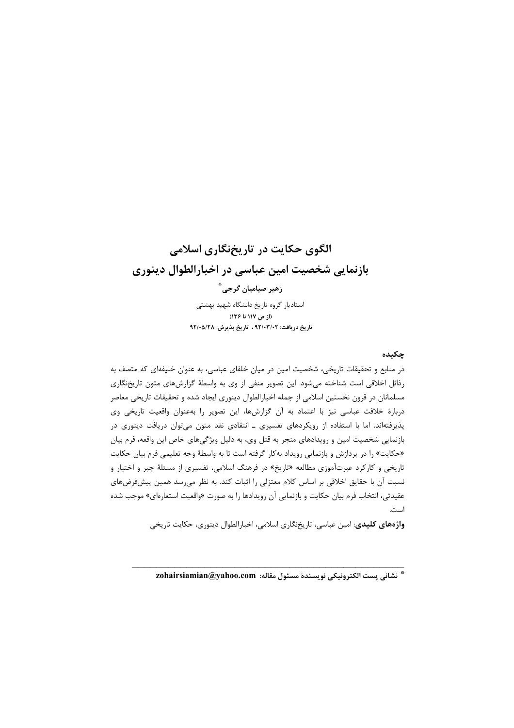# الگوی حکایت در تاریخنگاری اسلامی بازنمایی شخصیت امین عباسی در اخبارالطوال دینوری زهیر صیامیان گرجی ؓ استادیار گروه تاریخ دانشگاه شهید بهشتی (از ص ۱۱۷ تا ۱۳۶) تاریخ در یافت: ۹۲/۰۳/۰۲ ، تاریخ پذیرش: ۹۲/۰۵/۲۸

### چکیده

در منابع و تحقیقات تاریخی، شخصیت امین در میان خلفای عباسی، به عنوان خلیفهای که متصف به رذائل اخلاقی است شناخته میشود. این تصویر منفی از وی به واسطهٔ گزارشهای متون تاریخنگاری مسلمانان در قرون نخستین اسلامی از جمله اخبارالطوال دینوری ایجاد شده و تحقیقات تاریخی معاصر دربارهٔ خلافت عباسی نیز با اعتماد به آن گزارشها، این تصویر را بهعنوان واقعیت تاریخی وی پذیرفتهاند. اما با استفاده از رویکردهای تفسیری ـ انتقادی نقد متون میتوان دریافت دینوری در بازنمایی شخصیت امین و رویدادهای منجر به قتل وی، به دلیل ویژگیهای خاص این واقعه، فرم بیان «حکایت» را در پردازش و بازنمایی رویداد بهکار گرفته است تا به واسطهٔ وجه تعلیمی فرم بیان حکایت تاریخی و کارکرد عبرتآموزی مطالعه «تاریخ» در فرهنگ اسلامی، تفسیری از مسئلهٔ جبر و اختیار و نسبت آن با حقایق اخلاقی بر اساس کلام معتزلی را اثبات کند. به نظر می رسد همین پیشفرضهای عقيدتي، انتخاب فرم بيان حكايت و بازنمايي آن رويدادها را به صورت «واقعيت استعارهاي» موجب شده است.

**واژههای کلیدی**: امین عباسی، تاریخنگاری اسلامی، اخبارالطوال دینوری، حکایت تاریخی

\* نشاني يست الكترونيكي نويسندة مسئول مقاله: zohairsiamian@yahoo.com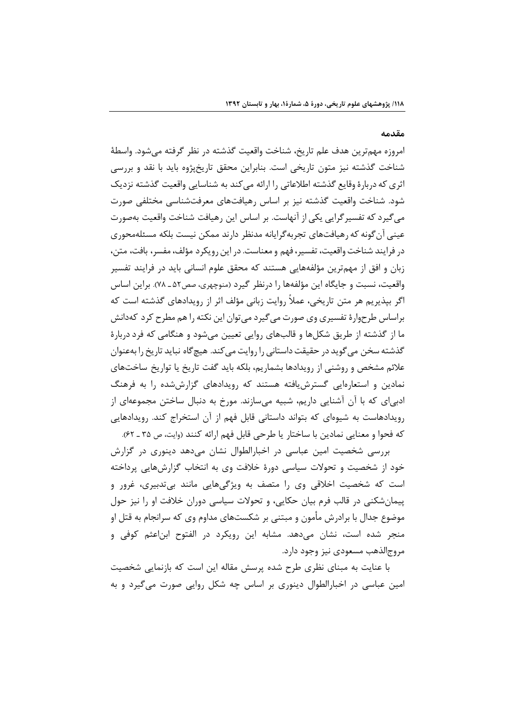#### مقدمه

امروزه مهم ترين هدف علم تاريخ، شناخت واقعيت گذشته در نظر گرفته مي شود. واسطهٔ شناخت گذشته نیز متون تاریخی است. بنابراین محقق تاریخپژوه باید با نقد و بررسی اثری که دربارهٔ وقایع گذشته اطلاعاتی را ارائه می کند به شناسایی واقعیت گذشته نزدیک شود. شناخت واقعیت گذشته نیز بر اساس رهیافتهای معرفتشناسی مختلفی صورت می گیرد که تفسیر گرایی یکی از آنهاست. بر اساس این رهیافت شناخت واقعیت بهصورت عینی آن گونه که رهیافتهای تجربه گرایانه مدنظر دارند ممکن نیست بلکه مسئلهمحوری در فرايند شناخت واقعيت، تفسير، فهم و معناست. در اين رويكرد مؤلف، مفسر، بافت، متن، زبان و افق از مهمترین مؤلفههایی هستند که محقق علوم انسانی باید در فرایند تفسیر واقعیت، نسبت و جایگاه این مؤلفهها را درنظر گیرد (منوچهری، صص۵۲\_ ۷۸). براین اساس اگر بیذیریم هر متن تاریخی، عملاً روایت زبانی مؤلف اثر از رویدادهای گذشته است که براساس طرحوارهٔ تفسیری وی صورت می گیرد می توان این نکته را هم مطرح کرد کهدانش ما از گذشته از طریق شکلها و قالبهای روایی تعیین میشود و هنگامی که فرد دربارهٔ گذشته سخن می گوید در حقیقت داستانی را روایت می کند. هیچ گاه نباید تاریخ را بهعنوان علائم مشخص و روشنی از رویدادها بشماریم، بلکه باید گفت تاریخ یا تواریخ ساختهای نمادین و استعارهایی گسترش یافته هستند که رویدادهای گزارش شده را به فرهنگ ادبیای که با آن آشنایی داریم، شبیه میسازند. مورخ به دنبال ساختن مجموعهای از رویدادهاست به شیوهای که بتواند داستانی قابل فهم از آن استخراج کند. رویدادهایی كه فحوا و معنايي نمادين با ساختار يا طرحي قابل فهم ارائه كنند (وايت، ص ٣۵ ـ ۶۲).

بررسی شخصیت امین عباسی در اخبارالطوال نشان میدهد دینوری در گزارش خود از شخصیت و تحولات سیاسی دورهٔ خلافت وی به انتخاب گزارشهایی پرداخته است که شخصیت اخلاقی وی را متصف به ویژگیهایی مانند بیتدبیری، غرور و پیمانشکنی در قالب فرم بیان حکایی، و تحولات سیاسی دوران خلافت او را نیز حول موضوع جدال با برادرش مأمون و مبتنی بر شکستهای مداوم وی که سرانجام به قتل او منجر شده است، نشان میدهد. مشابه این رویکرد در الفتوح ابناعثم کوفی و مروج|لذهب مسعودي نيز وجود دارد.

با عنایت به مبنای نظری طرح شده پرسش مقاله این است که بازنمایی شخصیت امین عباسی در اخبارالطوال دینوری بر اساس چه شکل روایی صورت می گیرد و به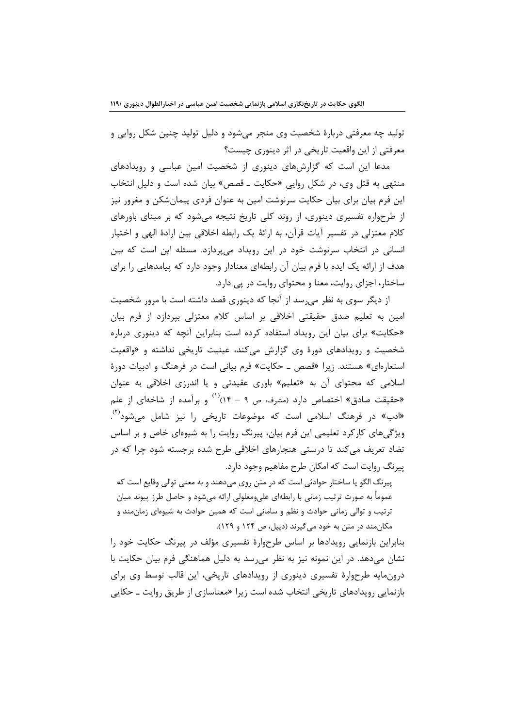تولید چه معرفتی دربارهٔ شخصیت وی منجر میشود و دلیل تولید چنین شکل روایی و معرفتي از اين واقعيت تاريخي در اثر دينوري چيست؟

مدعا این است که گزارشهای دینوری از شخصیت امین عباسی و رویدادهای منتهی به قتل وی، در شکل روایی «حکایت ـ قصص» بیان شده است و دلیل انتخاب این فرم بیان برای بیان حکایت سرنوشت امین به عنوان فردی پیمانشکن و مغرور نیز از طرحواره تفسیری دینوری، از روند کلی تاریخ نتیجه میشود که بر مبنای باورهای كلام معتزلي در تفسير آيات قرآن، به ارائهٔ يک رابطه اخلاقي بين ارادهٔ الهي و اختيار انسانی در انتخاب سرنوشت خود در این رویداد میپردازد. مسئله این است که بین هدف از ارائه یک ایده با فرم بیان آن رابطهای معنادار وجود دارد که پیامدهایی را برای ساختار، اجزای روایت، معنا و محتوای روایت در پی دارد.

از دیگر سوی به نظر میرسد از آنجا که دینوری قصد داشته است با مرور شخصیت امین به تعلیم صدق حقیقتی اخلاقی بر اساس کلام معتزلی بیردازد از فرم بیان «حکایت» برای بیان این رویداد استفاده کرده است بنابراین آنچه که دینوری درباره شخصیت و رویدادهای دورهٔ وی گزارش میکند، عینیت تاریخی نداشته و «واقعیت استعارهای» هستند. زیرا «قصص ــ حکایت» فرم بیانی است در فرهنگ و ادبیات دورهٔ اسلامی که محتوای آن به «تعلیم» باوری عقیدتی و یا اندرزی اخلاقی به عنوان «حقیقت صادق» اختصاص دارد (مشرف، ص ۹ – ۱۴٪<sup>(۱)</sup> و برآمده از شاخهای از علم «ادب» در فرهنگ اسلامی است که موضوعات تاریخی را نیز شامل می،شود<sup>؟؟</sup>. ویژگیهای کارکرد تعلیمی این فرم بیان، پیرنگ روایت را به شیوهای خاص و بر اساس تضاد تعریف میکند تا درستی هنجارهای اخلاقی طرح شده برجسته شود چرا که در پیرنگ روایت است که امکان طرح مفاهیم وجود دارد.

پیرنگ الگو یا ساختار حوادثی است که در متن روی می دهند و به معنی توالی وقایع است که عموماً به صورت ترتیب زمانی با رابطهای علیeمعلولی ارائه می شود و حاصل طرز پیوند میان ترتیب و توالی زمانی حوادث و نظم و سامانی است که همین حوادث به شیوهای زمانمند و مکان مند در متن به خود می گیرند (دیبل، ص ۱۲۴ و ۱۲۹).

بنابراین بازنمایی رویدادها بر اساس طرحوارهٔ تفسیری مؤلف در پیرنگ حکایت خود را نشان میدهد. در این نمونه نیز به نظر می رسد به دلیل هماهنگی فرم بیان حکایت با درونمایه طرحوارهٔ تفسیری دینوری از رویدادهای تاریخی، این قالب توسط وی برای بازنمایی رویدادهای تاریخی انتخاب شده است زیرا «معناسازی از طریق روایت ـ حکایی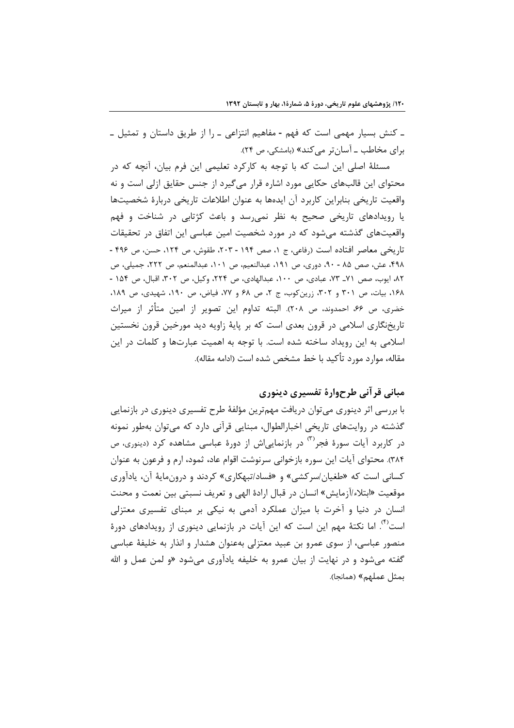۔ کنش بسیار مهمی است که فهم - مفاهیم انتزاعی ۔ را از طریق داستان و تمثیل ۔ برای مخاطب ـ آسانتر می کند» (بامشکی، ص ۲۴).

مسئلهٔ اصلی این است که با توجه به کارکرد تعلیمی این فرم بیان، آنچه که در محتوای این قالبهای حکایی مورد اشاره قرار میگیرد از جنس حقایق ازلی است و نه واقعیت تاریخی بنابراین کاربرد آن ایدهها به عنوان اطلاعات تاریخی دربارهٔ شخصیتها یا رویدادهای تاریخی صحیح به نظر نمی رسد و باعث کژتابی در شناخت و فهم واقعیتهای گذشته میشود که در مورد شخصیت امین عباسی این اتفاق در تحقیقات تاريخي معاصر افتاده است (رفاعي، ج ١، صص ١٩۴ - ٢٠٣، طقوش، ص ١٢۴، حسن، ص ۴۹۶ -۴۹۸، عش، صص ۸۵ - ۹۰، دوری، ص ۱۹۱، عبدالنعیم، ص ۱۰۱، عبدالمنعم، ص ۲۲۲، جمیلی، ص ٨٢، ايوب، صص ٧١\_ ٧٣، عبادي، ص ١٠٠، عبدالهادي، ص ٢٢۴، وكيل، ص ٣٠٢، اقبال، ص ١۵۴ -١۶٨، بيات، ص ٣٠١ و ٣٠٢، زرين كوب، ج ٢، ص ۶٨ و ٧٧، فياض، ص ١٩٠، شهيدى، ص ١٨٩، خضري، ص ۶۶، احمدوند، ص ۲۰۸). البته تداوم اين تصوير از امين متأثر از ميراث تاریخنگاری اسلامی در قرون بعدی است که بر پایهٔ زاویه دید مورخین قرون نخستین اسلامی به این رویداد ساخته شده است. با توجه به اهمیت عبارتها و کلمات در این مقاله، موارد مورد تأكيد با خط مشخص شده است (ادامه مقاله).

## مبانی قر آنی طرحوارهٔ تفسیری دینوری

با بررسی اثر دینوری میتوان دریافت مهمترین مؤلفهٔ طرح تفسیری دینوری در بازنمایی گذشته در روایتهای تاریخی اخبارالطوال، مبنایی قرآنی دارد که می توان بهطور نمونه در کاربرد آیات سورهٔ فجر<sup>۳)</sup> در بازنمایی اش از دورهٔ عباسی مشاهده کرد (دینوری، ص ۳۸۴). محتوای آیات این سوره بازخوانی سرنوشت اقوام عاد، ثمود، ارم و فرعون به عنوان کسانی است که «طغیان/سرکشی» و «فساد/تبهکاری» کردند و درونمایهٔ آن، یادآوری موقعیت «ابتلاء/آزمایش» انسان در قبال ارادهٔ الهی و تعریف نسبتی بین نعمت و محنت انسان در دنیا و آخرت با میزان عملکرد آدمی به نیکی بر مبنای تفسیری معتزلی است<sup>(۴)</sup>. اما نکتهٔ مهم این است که این آیات در بازنمایی دینوری از رویدادهای دورهٔ منصور عباسی، از سوی عمرو بن عبید معتزلی بهعنوان هشدار و انذار به خلیفهٔ عباسی گفته میشود و در نهایت از بیان عمرو به خلیفه یادآوری میشود «و لمن عمل و الله بمثل عملهم» (همانجا).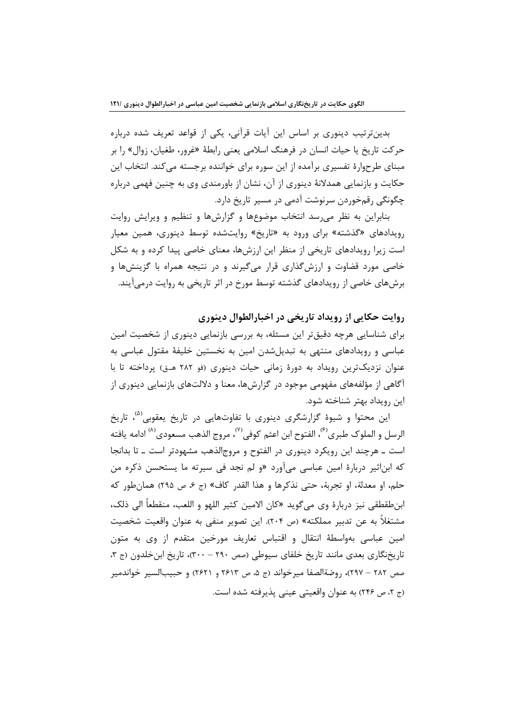بدینترتیب دینوری بر اساس این آیات قرآنی، یکی از قواعد تعریف شده درباره حرکت تاریخ یا حیات انسان در فرهنگ اسلامی یعنی رابطهٔ «غرور، طغیان، زوال» را بر مبنای طرحوارهٔ تفسیری برآمده از این سوره برای خواننده برجسته میکند. انتخاب این حکایت و بازنمایی همدلانهٔ دینوری از آن، نشان از باورمندی وی به چنین فهمی درباره چگونگی رقمخوردن سرنوشت آدمی در مسیر تاریخ دارد.

بنابراین به نظر می رسد انتخاب موضوعها و گزارشها و تنظیم و ویرایش روایت رویدادهای «گذشته» برای ورود به «تاریخ» روایتشده توسط دینوری، همین معیار است زیرا رویدادهای تاریخی از منظر این ارزشها، معنای خاصی پیدا کرده و به شکل خاصی مورد قضاوت و ارزشگذاری قرار میگیرند و در نتیجه همراه با گزینشها و برشهای خاصی از رویدادهای گذشته توسط مورخ در اثر تاریخی به روایت درمی آیند.

روايت حكايي از رويداد تاريخي در اخبارالطوال دىنورى

برای شناسایی هرچه دقیقتر این مسئله، به بررسی بازنمایی دینوری از شخصیت امین عباسی و رویدادهای منتهی به تبدیل شدن امین به نخستین خلیفهٔ مقتول عباسی به عنوان نزدیکترین رویداد به دورهٔ زمانی حیات دینوری (فو ۲۸۲ هـق) پرداخته تا با آگاهی از مؤلفههای مفهومی موجود در گزارشها، معنا و دلالتهای بازنمایی دینوری از این رویداد بهتر شناخته شود.

این محتوا و شیوهٔ گزارشگری دینوری با تفاوتهایی در تاریخ یعقوبی<sup>(۵)</sup>، تاریخ الرسل و الملوك طبري<sup>(۶)</sup>، الفتوح ابن اعثم كوفي<sup>(۷)</sup>، مروج الذهب مسعودي<sup>(۸)</sup> ادامه يافته است ـ هرچند این رویکرد دینوری در الفتوح و مروج الذهب مشهودتر است ـ تا بدانجا که ابناثیر دربارهٔ امین عباسی میآورد «و لم نجد فی سیرته ما یستحسن ذکره من حلم، او معدلة، او تجربة، حتى نذكرها و هذا القدر كاف» (ج ۶، ص ۲۹۵) همانطور كه ابن طقطقي نيز دربارة وي مي گويد «كان الامين كثير اللهو و اللعب، منقطعاً ال<sub>ى</sub> ذلك، مشتغلاً به عن تدبیر مملکته» (ص ۲۰۴). این تصویر منفی به عنوان واقعیت شخصیت امین عباسی بهواسطهٔ انتقال و اقتباس تعاریف مورخین متقدم از وی به متون تاریخنگاری بعدی مانند تاریخ خلفای سیوطی (صص ۲۹۰ – ۳۰۰)، تاریخ ابن خلدون (ج ۳، صص ٢٨٢ – ٢٩٧)، روضةالصفا ميرخواند (ج ۵، ص ٢۶١٣ و ٢۶٢١) و حبيبالسير خواندمير (ج ۲، ص ۲۴۶) به عنوان واقعیتی عینی پذیرفته شده است.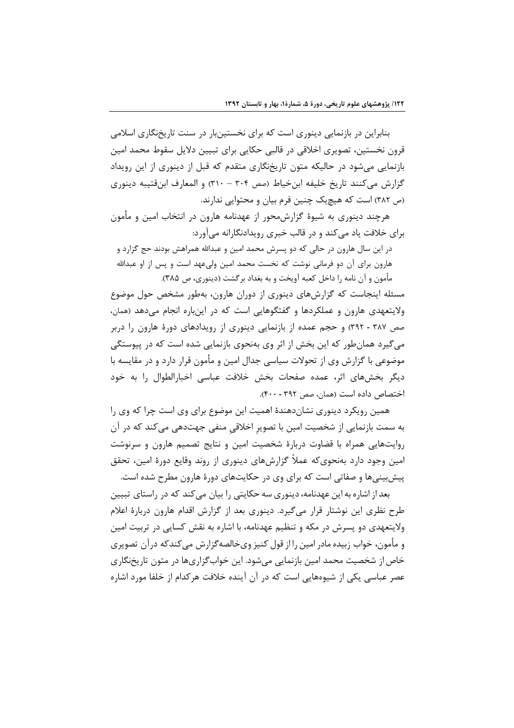بنابراین در بازنمایی دینوری است که برای نخستینبار در سنت تاریخنگاری اسلامی قرون نخستین، تصویری اخلاقی در قالبی حکایی برای تبیین دلایل سقوط محمد امین بازنمایی میشود در حالیکه متون تاریخنگاری متقدم که قبل از دینوری از این رویداد گزارش می کنند تاریخ خلیفه ابن خیاط (صص ۳۰۴ – ۳۱۰) و المعارف ابنقتیبه دینوری (ص ٣٨٢) است كه هيچيک چنين فرم بيان و محتوايي ندارند.

هرچند دینوری به شیوهٔ گزارشمحور از عهدنامه هارون در انتخاب امین و مأمون برای خلافت یاد می کند و در قالب خبری رویدادنگارانه میآورد:

در این سال هارون در حالی که دو پسرش محمد امین و عبدالله همراهش بودند حج گزارد و هارون برای آن دو فرمانی نوشت که نخست محمد امین ولیعهد است و پس از او عبدالله مأمون و أن نامه را داخل كعبه أويخت و به بغداد برگشت (دينوري، ص ٣٨۵).

مسئله اینجاست که گزارشهای دینوری از دوران هارون، بهطور مشخص حول موضوع ولایتعهدی هارون و عملکردها و گفتگوهایی است که در اینباره انجام میدهد (همان، صص ۳۸۷ - ۳۹۲) و حجم عمده از بازنمایی دینوری از رویدادهای دورهٔ هارون را دربر می گیرد همانطور که این بخش از اثر وی بهنحوی بازنمایی شده است که در پیوستگی موضوعی با گزارش وی از تحولات سیاسی جدال امین و مأمون قرار دارد و در مقایسه با دیگر بخشهای اثر، عمده صفحات بخش خلافت عباسی اخبارالطوال را به خود اختصاص داده است (همان، صص ۳۹۲ - ۴۰۰).

همین رویکرد دینوری نشاندهندهٔ اهمیت این موضوع برای وی است چرا که وی را به سمت بازنمایی از شخصیت امین با تصویر اخلاقی منفی جهتدهی میکند که در آن روایتهایی همراه با قضاوت دربارهٔ شخصیت امین و نتایج تصمیم هارون و سرنوشت امین وجود دارد بهنحویکه عملاً گزارشهای دینوری از روند وقایع دورهٔ امین، تحقق پیش بینے ها و صفاتے است که برای وی در حکایتهای دورۂ هارون مطرح شده است.

بعد از اشاره به این عهدنامه، دینوری سه حکایتی را بیان می کند که در راستای تبیین طرح نظری این نوشتار قرار میگیرد. دینوری بعد از گزارش اقدام هارون دربارهٔ اعلام ولایتعهدی دو پسرش در مکه و تنظیم عهدنامه، با اشاره به نقش کسایی در تربیت امین و مأمون، خواب زبیده مادر امین را از قول کنیز ویخالصه گزارش می کندکه درآن تصویری خاص از شخصیت محمد امین بازنمایی میشود. این خوابگزاریها در متون تاریخنگاری عصر عباسی یکی از شیوههایی است که در آن آینده خلافت هرکدام از خلفا مورد اشاره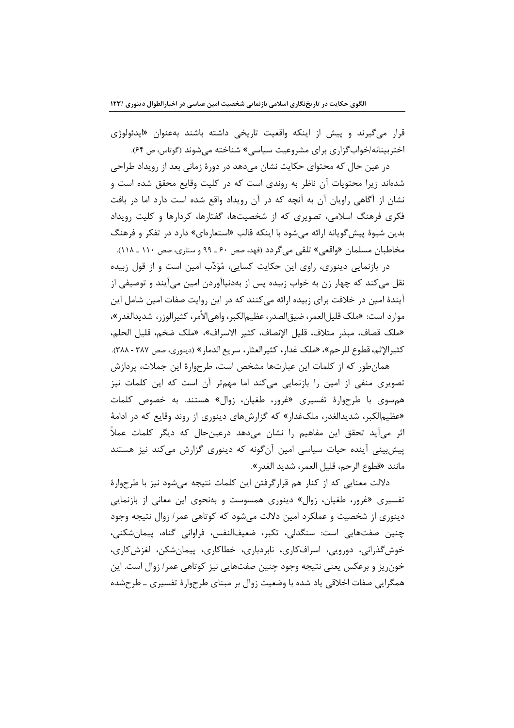قرار میگیرند و پیش از اینکه واقعیت تاریخی داشته باشند بهعنوان «ایدئولوژی اختربینانه/خوابگزاری برای مشروعیت سیاسی» شناخته میشوند (گوتاس، ص ۶۴).

در عین حال که محتوای حکایت نشان میدهد در دورهٔ زمانی بعد از رویداد طراحی شدهاند زیرا محتویات آن ناظر به روندی است که در کلیت وقایع محقق شده است و نشان از آگاهی راویان آن به آنچه که در آن رویداد واقع شده است دارد اما در بافت فکری فرهنگ اسلامی، تصویری که از شخصیتها، گفتارها، کردارها و کلیت رویداد بدین شیوهٔ پیش گویانه ارائه می شود با اینکه قالب «استعارهای» دارد در تفکر و فرهنگ مخاطبان مسلمان «واقعي» تلقى مى گردد (فهد، صص ۶۰ ـ ۹۹ و ستارى، صص ۱۱۰ ـ ۱۱۸).

در بازنمایی دینوری، راوی این حکایت کسایی، مُوَدِّب امین است و از قول زبیده نقل می کند که چهار زن به خواب زبیده پس از بهدنیاآوردن امین میآیند و توصیفی از آیندهٔ امین در خلافت برای زبیده ارائه می کنند که در این روایت صفات امین شامل این موارد است: «ملك قليل|لعمر، ضيق|لصدر، عظيم|لكبر، واهي|لأمر، كثير|لوزر، شديد|لغدر»، «ملك قصاف، مبذر متلاف، قليل الإنصاف، كثير الاسراف»، «ملك ضخم، قليل الحلم، كثيرالإثم، قطوع للرحم»، «ملك غدار، كثيرالعثار، سريع الدمار» (دينوري، صص ٣٨٧ - ٣٨٨).

همان طور که از کلمات این عبارتها مشخص است، طرحوارهٔ این جملات، پردازش تصویری منفی از امین را بازنمایی میکند اما مهمتر آن است که این کلمات نیز هم سوی با طرحوارهٔ تفسیری «غرور، طغیان، زوال» هستند. به خصوص کلمات «عظیم|لکبر، شدید|لغدر، ملکغدار» که گزارشهای دینوری از روند وقایع که در ادامهٔ اثر میآید تحقق این مفاهیم را نشان میدهد درعینحال که دیگر کلمات عملاً پیشبینی آینده حیات سیاسی امین آنگونه که دینوری گزارش میکند نیز هستند مانند «قطوع الرحم، قليل العمر، شديد الغدر».

دلالت معنایی که از کنار هم قرارگرفتن این کلمات نتیجه میشود نیز با طرحوارهٔ تفسیری «غرور، طغیان، زوال» دینوری همسوست و بهنحوی این معانی از بازنمایی دینوری از شخصیت و عملکرد امین دلالت میشود که کوتاهی عمر/ زوال نتیجه وجود چنین صفتهایی است: سنگدلی، تکبر، ضعیفالنفس، فراوانی گناه، پیمانشکنی، خوش گذرانی، دورویی، اسرافکاری، نابردباری، خطاکاری، پیمانِشکن، لغزشکاری، خونریز و برعکس یعنی نتیجه وجود چنین صفتهایی نیز کوتاهی عمر/ زوال است. این همگرایی صفات اخلاقی یاد شده با وضعیت زوال بر مبنای طرحوارهٔ تفسیری ـ طرحشده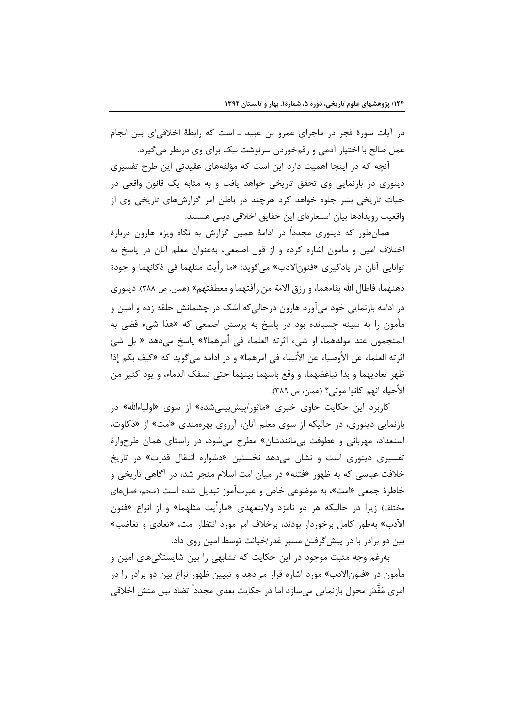در آیات سورهٔ فجر در ماجرای عمرو بن عبید ـ است که رابطهٔ اخلاقی|ی بین انجام عمل صالح با اختیار آدمی و رقمخوردن سرنوشت نیک برای وی درنظر میگیرد.

آنچه که در اینجا اهمیت دارد این است که مؤلفههای عقیدتی این طرح تفسیری دینوری در بازنمایی وی تحقق تاریخی خواهد یافت و به مثابه یک قانون واقعی در حیات تاریخی بشر جلوه خواهد کرد هرچند در باطن امر گزارشهای تاریخی وی از واقعيت رويدادها بيان استعارهاي اين حقايق اخلاقي ديني هستند.

همانطور که دینوری مجدداً در ادامهٔ همین گزارش به نگاه ویژه هارون دربارهٔ اختلاف امین و مأمون اشاره کرده و از قول اصمعی، بهعنوان معلم آنان در پاسخ به توانايي آنان در يادگيري «فنون|لادب» ميگويد: «ما رأيت مثلهما في ذكائهما و جودة ذهنهما، فاطال الله بقاءهما، و رزق الامة من رأفتهما و معطفتهم» (همان، ص ٣٨٨). دينوري در ادامه بازنمایی خود میآورد هارون درحالی که اشک در چشمانش حلقه زده و امین و مأمون را به سینه چسبانده بود در پاسخ به پرسش اصمعی که «هذا شیء قضی به المنجمون عند مولدهما، او شيء اثرته العلماء في أمرهما؟» ياسخ مي<هد « بل شيئ اثرته العلماء عن الأوصياء عن الأنبياء في امرهما» و در ادامه مي¢ويد كه «كيف بكم إذا ظهر تعاديهما و بدا تباغضهما، و وقع باسهما بينهما حتى تسفك الدماء، و يود كثير من الأحياء انهم كانوا موتى؟ (همان، ص ٣٨٩).

کاربرد این حکایت حاوی خبری «ماثور/پیشبینیشده» از سوی «اولیاءالله» در بازنمایی دینوری، در حالیکه از سوی معلم آنان، آرزوی بهرهمندی «امت» از «ذکاوت، استعداد، مهربانی و عطوفت بیمانندشان» مطرح می شود، در راستای همان طرحوارهٔ تفسیری دینوری است و نشان میدهد نخستین «دشواره انتقال قدرت» در تاریخ خلافت عباسی که به ظهور «فتنه» در میان امت اسلام منجر شد، در آگاهی تاریخی و خاطرهٔ جمعی «امت»، به موضوعی خاص و عبرتآموز تبدیل شده است (ملحم، فصلهای مختلف) زیرا در حالیکه هر دو نامزد ولایتعهدی «مارأیت مثلهما» و از انواع «فنون الآدب» بهطور کامل برخوردار بودند، برخلاف امر مورد انتظار امت، «تعادی و تغاضب» بین دو برادر با در پیش گرفتن مسیر غدر اخیانت توسط امین روی داد.

بهرغم وجه مثبت موجود در این حکایت که تشابهی را بین شایستگیهای امین و مأمون در «فنونالادب» مورد اشاره قرار میدهد و تبیین ظهور نزاع بین دو برادر را در امری مُقَّدَر محول بازنمایی مے سازد اما در حکایت بعدی مجدداً تضاد بین منش اخلاقی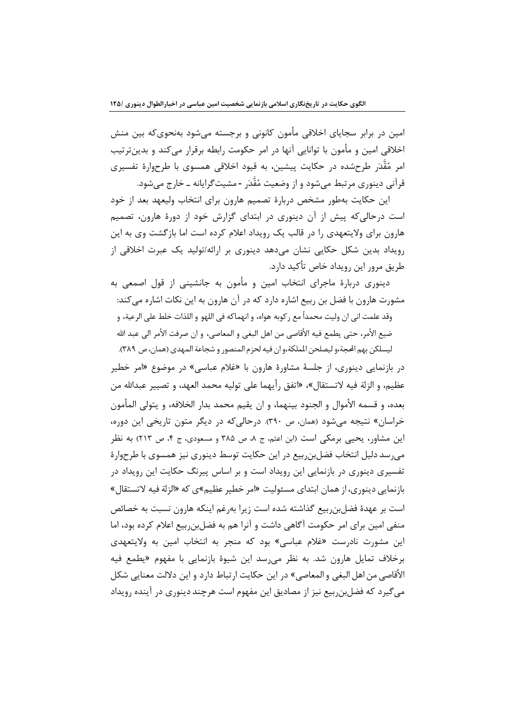امین در برابر سجایای اخلاقی مأمون کانونی و برجسته میشود بهنحویکه بین منش اخلاقی امین و مأمون با توانایی آنها در امر حکومت رابطه برقرار میکند و بدینترتیب امر مُقَّدَر طرحشده در حکایت پیشین، به قیود اخلاقی همسوی با طرحوارهٔ تفسیری قرآنی دینوری مرتبط می شود و از وضعیت مُقَّدَر -مشیت گرایانه ــ خارج می شود.

این حکایت بهطور مشخص دربارهٔ تصمیم هارون برای انتخاب ولیعهد بعد از خود است درحالی که پیش از آن دینوری در ابتدای گزارش خود از دورهٔ هارون، تصمیم هارون برای ولایتعهدی را در قالب یک رویداد اعلام کرده است اما بازگشت وی به این رویداد بدین شکل حکایی نشان میدهد دینوری بر ارائه/تولید یک عبرت اخلاقی از طريق مرور اين رويداد خاص تأكيد دارد.

دینوری دربارهٔ ماجرای انتخاب امین و مأمون به جانشینی از قول اصمعی به مشورت هارون با فضل بن ربیع اشاره دارد که در آن هارون به این نکات اشاره می کند: وقد علمت اني ان وليت محمداً مع ركوبه هواه، و انهماكه في اللهو و اللذات خلط على الرعية، و ضيع الأمر، حتى يطمع فيه الأقاصي من اهل البغي و المعاصي، و ان صرفت الأمر الي عبد الله ليسلكن بهم الحجة،و ليصلحن الملكة،و ان فيه لحزم المنصور و شجاعة المهدى (همان، ص ٣٨٩).

در بازنمایی دینوری، از جلسهٔ مشاورهٔ هارون با «غلام عباسی» در موضوع «امر خطیر عظيم، و الزلة فيه لاتستقال»، «اتفق رأيهما على توليه محمد العهد، و تصيير عبدالله من بعده، و قسمه الأموال و الجنود بينهما، و ان يقيم محمد بدار الخلافه، و يتولى المأمون خراسان» نتیجه می شود (همان، ص ۳۹۰). درحالی که در دیگر متون تاریخی این دوره، این مشاور، یحیی برمکی است (ابن اعثم، ج ۸، ص ۳۸۵ و مسعودی، ج ۴، ص ۲۱۳) به نظر می رسد دلیل انتخاب فضل بن ربیع در این حکایت توسط دینوری نیز همسوی با طرحوارهٔ تفسیری دینوری در بازنمایی این رویداد است و بر اساس پیرنگ حکایت این رویداد در بازنمایی دینوری، از همان ابتدای مسئولیت «امر خطیر عظیم»ی که «الزلة فیه لاتستقال» است بر عهدهٔ فضلبن ربیع گذاشته شده است زیرا بهرغم اینکه هارون نسبت به خصائص منفی امین برای امر حکومت آگاهی داشت و آنرا هم به فضل: ربیع اعلام کرده بود، اما این مشورت نادرست «غلام عباسی» بود که منجر به انتخاب امین به ولایتعهدی برخلاف تمایل هارون شد. به نظر می رسد این شیوهٔ بازنمایی با مفهوم «یطمع فیه الأقاصي من اهل البغي و المعاصي» در اين حكايت ارتباط دارد و اين دلالت معنايي شكل می گیرد که فضلبن بیع نیز از مصادیق این مفهوم است هرچند دینوری در آینده رویداد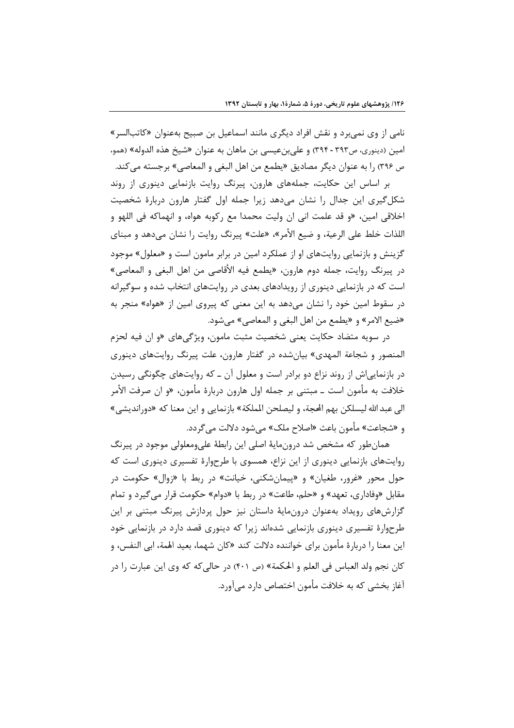نامی از وی نمیبرد و نقش افراد دیگری مانند اسماعیل بن صبیح بهعنوان «کاتبالسر» امین (دینوری، ص۳۹۳ - ۳۹۴) و علیبنعیسی بن ماهان به عنوان «شیخ هذه الدوله» (همو، ص ٣٩۶) ,ا به عنوان ديگر مصاديق «يطمع من اهل البغي و المعاصي» برجسته مي كند.

بر اساس این حکایت، جملههای هارون، پیرنگ روایت بازنمایی دینوری از روند شکل گیری این جدال را نشان می۵هد زیرا جمله اول گفتار هارون دربارهٔ شخصیت اخلاقي امين، «و قد علمت اني ان وليت محمدا مع ركوبه هواه، و انهماكه في اللهو و اللذات خلط على الرعية، و ضيع الأمر»، «علت» پيرنگ ,وايت ,ا نشان مے,دهد و مبناي گزینش و بازنمایی روایتهای او از عملکرد امین در برابر مامون است و «معلول» موجود در پيرنگ روايت، جمله دوم هارون، «يطمع فيه الأقاصي من اهل البغي و المعاصي» است که در بازنمایی دینوری از رویدادهای بعدی در روایتهای انتخاب شده و سوگیرانه در سقوط امین خود را نشان میدهد به این معنی که پیروی امین از «هواه» منجر به «ضيع الامر» و «يطمع من اهل البغي و المعاصي» مي شود.

در سويه متضاد حكايت يعني شخصيت مثبت مامون، ويژگي هاي «و ان فيه لحزم المنصور و شجاعة المهدى» بيانشده در گفتار هارون، علت پيرنگ روايتهاى دينورى در بازنمایی اش از روند نزاع دو برادر است و معلول آن ــ که روایتهای چگونگی رسیدن خلافت به مأمون است ــ مبتنى بر جمله اول هارون دربارهٔ مأمون، «و ان صرفت الأمر الي عبد الله ليسلكن بهم الحجة، و ليصلحن الملكة» بازنمايي و اين معنا كه «دورانديشي» و «شجاعت» مأمون باعث «اصلاح ملک» مے شود دلالت مے گردد.

همان طور که مشخص شد درونمایهٔ اصلی این رابطهٔ علیومعلولی موجود در پیرنگ روایتهای بازنمایی دینوری از این نزاع، همسوی با طرحوارهٔ تفسیری دینوری است که حول محور «غرور، طغیان» و «پیمانشکنی، خیانت» در ربط با «زوال» حکومت در مقابل «وفاداري، تعهد» و «حلم، طاعت» در ربط با «دوام» حکومت قرار مي گيرد و تمام گزارشهای رویداد بهعنوان درونمایهٔ داستان نیز حول پردازش پیرنگ مبتنی بر این طرحوارهٔ تفسیری دینوری بازنمایی شدهاند زیرا که دینوری قصد دارد در بازنمایی خود این معنا ٫ا د٫با٫هٔ مأمون برای خواننده دلالت کند «کان شهما، بعید اهْمة، ابی النفس، و كان نجم ولد العباس في العلم و الحكمة» (ص ۴۰۱) در حالي كه كه وي اين عبارت را در آغاز بخشی که به خلافت مأمون اختصاص دارد میآورد.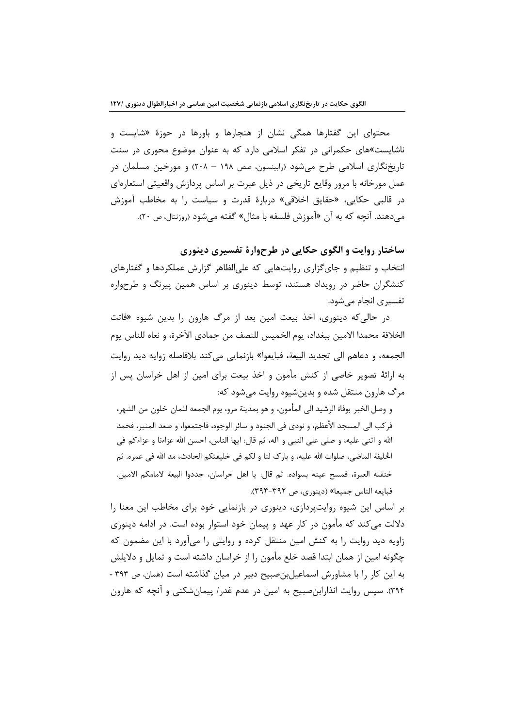محتوای این گفتارها همگی نشان از هنجارها و باورها در حوزهٔ «شایست و ناشایست»های حکمرانی در تفکر اسلامی دارد که به عنوان موضوع محوری در سنت تاریخنگاری اسلامی طرح میشود (رابینسون، صص ۱۹۸ – ۲۰۸) و مورخین مسلمان در عمل مورخانه با مرور وقایع تاریخی در ذیل عبرت بر اساس پردازش واقعیتی استعارهای در قالبي حكايي، «حقايق اخلاقي» دربارة قدرت و سياست را به مخاطب آموزش می دهند. آنچه که به آن «آموزش فلسفه با مثال» گفته میشود (روزنتال، ص ۲۰).

ساختار روایت و الگوی حکایی در طرحوارهٔ تفسیری دینوری

انتخاب و تنظیم و جای گزاری روایتهایی که علی|لظاهر گزارش عملکردها و گفتارهای کنشگران حاضر در رویداد هستند، توسط دینوری بر اساس همین پیرنگ و طرحواره تفسیری انجام مے شود.

در حالي كه دينوري، اخذ بيعت امين بعد از مرگ هارون را بدين شيوه «فاتت الخلافة محمدا الامين ببغداد، يوم الخميس للنصف من جمادي الآخرة، و نعاه للناس يوم الجمعه، و دعاهم الى تجديد البيعة، فبايعوا» بازنمايي مي كند بلافاصله زوايه ديد روايت به ارائهٔ تصویر خاصی از کنش مأمون و اخذ بیعت برای امین از اهل خراسان پس از مرگ هارون منتقل شده و بدینشیوه روایت میشود که:

و وصل الخبر بوفاة الرشيد الى المأمون، و هو بمدينة مرو، يوم الجمعه لثمان خلون من الشهر، فركب الى المسجد الأعظم، و نودي في الجنود و سائر الوجوه، فاجتمعوا، و صعد المنبر، فحمد الله و اثني عليه، و صلى على النبي و آله، ثم قال: ايها الناس، احسن الله عزاءنا و عزاءكم في الخليفة الماضي، صلوات الله عليه، و بار ک لنا و لکم في خليفتکم الحادث، مد الله في عمره. ثم خنقته العبرة، فمسح عينه بسواده. ثم قال: يا اهل خراسان، جددوا البيعة لامامكم الامين. فبايعه الناس جميعا» (دينوري، ص ٣٩٢-٣٩٣).

بر اساس این شیوه روایتپردازی، دینوری در بازنمایی خود برای مخاطب این معنا را دلالت می کند که مأمون در کار عهد و پیمان خود استوار بوده است. در ادامه دینوری زاویه دید روایت را به کنش امین منتقل کرده و روایتی را میآورد با این مضمون که چگونه امین از همان ابتدا قصد خلع مأمون را از خراسان داشته است و تمایل و دلایلش به این کار را با مشاورش اسماعیلبن صبیح دبیر در میان گذاشته است (همان، ص ۳۹۳ -۳۹۴). سپس روایت انذاراین صبیح به امین در عدم غدر/ پیمان شکنی و آنچه که هارون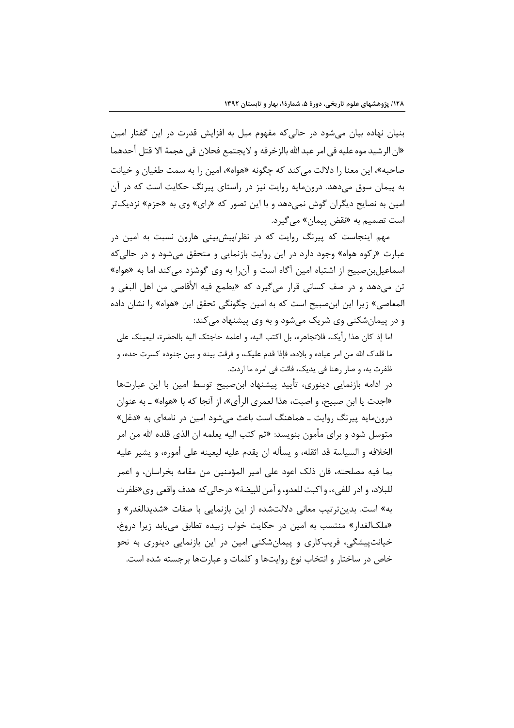بنیان نهاده بیان میشود در حالی که مفهوم میل به افزایش قدرت در این گفتار امین «ان الرشيد موه عليه في امر عبد الله بالزخرفه و لايجتمع فحلان في هجمة الا قتل أحدهما صاحبه»، این معنا را دلالت می کند که چگونه «هواه»، امین را به سمت طغیان و خیانت به پیمان سوق میدهد. درونمایه روایت نیز در راستای پیرنگ حکایت است که در آن امین به نصایح دیگران گوش نمی دهد و با این تصور که «رای» وی به «حزم» نزدیکتر است تصمیم به «نقض پیمان» میگیرد.

مهم اینجاست که پیرنگ روایت که در نظر/پیشبینی هارون نسبت به امین در عبارت «رکوه هواه» وجود دارد در این روایت بازنمایی و متحقق می شود و در حالی *ک*ه اسماعیل بن صبیح از اشتباه امین آگاه است و آن,را به وی گوشزد می *ک*ند اما به «هواه» تن مي<هد و در صف كساني قرار ميگيرد كه «يطمع فيه الأقاصي من اهل البغي و المعاصي» زيرا اين ابن صبيح است كه به امين چگونگي تحقق اين «هواه» را نشان داده و در پیمانشکنی وی شریک می شود و به وی پیشنهاد می کند:

اما إذ كان هذا رأيك، فلاتجاهره، بل اكتب اليه، و اعلمه حاجتك اليه بالحضرة، ليعينك على ما قلدک الله من امر عباده و بلاده، فإذا قدم عليک، و فرقت بينه و بين جنوده کسرت حده، و ظفرت به، و صار رهنا في يديک، فائت في امره ما اردت.

در ادامه بازنمایی دینوری، تأیید پیشنهاد ابنصبیح توسط امین با این عبارتها «اجدت یا ابن صبیح، و اصبت، هذا لعمری الرأی»، از آنجا که با «هواه» ـ به عنوان درونمایه پیرنگ روایت ـ هماهنگ است باعث می شود امین در نامهای به «دغل» متوسل شود و براي مأمون بنويسد: «ثم كتب اليه يعلمه ان الذي قلده الله من امر الخلافه و السياسة قد اثقله، و يسأله ان يقدم عليه ليعينه على أموره، و يشير عليه بما فيه مصلحته، فان ذلك اعود على امير المؤمنين من مقامه بخراسان، و اعمر للبلاد، و ادر للفيء، و اكبت للعدو، و آمن للبيضة» درحالي كه هدف واقعي وي«ظفرت به» است. بدین ترتیب معانی دلالتشده از این بازنمایی با صفات «شدیدالغدر» و «ملکالغدار» منتسب به امین در حکایت خواب زبیده تطابق می یابد زیرا دروغ، خیانتپیشگی، فریبکاری و پیمانشکنی امین در این بازنمایی دینوری به نحو خاص در ساختار و انتخاب نوع روايتها و كلمات و عبارتها برجسته شده است.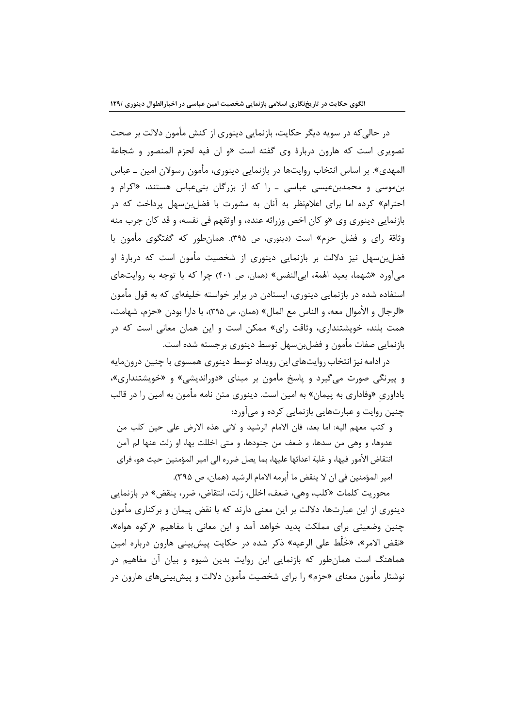در حالی که در سویه دیگر حکایت، بازنمایی دینوری از کنش مأمون دلالت بر صحت تصویری است که هارون دربارهٔ وی گفته است «و ان فیه لحزم المنصور و شجاعة المهدي». بر اساس انتخاب روايتها در بازنمايي دينوري، مأمون رسولان امين ــ عباس بنموسی و محمدبنعیسی عباسی ـ را که از بزرگان بنیعباس هستند، «اکرام و احترام» کرده اما برای اعلامنظر به آنان به مشورت با فضلبن سهل پرداخت که در بازنمایی دینوری وی «و کان اخص وزرائه عنده، و اوثقهم فی نفسه، و قد کان جرب منه وثاقة راي و فضل حزم» است (دينوري، ص ٣٩۵). همانطور كه گفتگوي مأمون با فضلبنسهل نیز دلالت بر بازنمایی دینوری از شخصیت مأمون است که دربارهٔ او می آورد «شهما، بعید الهمة، ابی|لنفس» (همان، ص ۴۰۱) چرا که با توجه به روایتهای استفاده شده در بازنمایی دینوری، ایستادن در برابر خواسته خلیفهای که به قول مأمون «الرجال و الأموال معه، و الناس مع المال» (همان، ص ٣٩۵)، با دارا بودن «حزم، شهامت، همت بلند، خویشتنداری، وثاقت رای» ممکن است و این همان معانی است که در بازنمایی صفات مأمون و فضل بن سهل توسط دینوری برجسته شده است.

در ادامه نیز انتخاب روایتهای این رویداد توسط دینوری همسوی با چنین درونمایه و پیرنگی صورت می *گ*یرد و پاسخ مأمون بر مبنای «دوراندیشی» و «خویشتنداری»، یاداوری «وفاداری به پیمان» به امین است. دینوری متن نامه مأمون به امین را در قالب چنین روایت و عبارتهایی بازنمایی کرده و میآورد:

و كتب معهم اليه: اما بعد، فان الامام الرشيد و لاني هذه الارض على حين كلب من عدوها، و وهي من سدها، و ضعف من جنودها، و متى اخللت بها، او زلت عنها لم آمن انتقاض الأمور فيها، و غلبة اعدائها عليها، بما يصل ضرره الى امير المؤمنين حيث هو، فراى امير المؤمنين في ان لا ينقض ما أبرمه الامام الرشيد (همان، ص ٣٩۵).

محوريت كلمات «كلب، وهي، ضعف، اخلل، زلت، انتقاض، ضرر، ينقض» در بازنمايي دینوری از این عبارتها، دلالت بر این معنی دارند که با نقض پیمان و برکناری مأمون چنین وضعیتی برای مملکت پدید خواهد آمد و این معانی با مفاهیم «رکوه هواه»، «نقض الامر»، «خَلَّط على الرعيه» ذكر شده در حكايت پيش بيني هارون درباره امين هماهنگ است همانطور که بازنمایی این روایت بدین شیوه و بیان آن مفاهیم در نوشتار مأمون معنای «حزم» را برای شخصیت مأمون دلالت و پیشبینیهای هارون در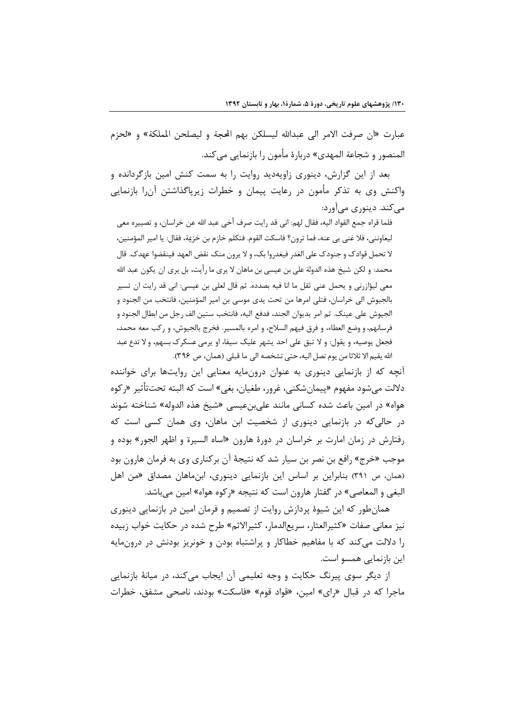عبارت «ان صرفت الامر الى عبدالله ليسلكن بهم المحة و ليصلحن الملكة» و «لحزم المنصور و شجاعة المهدي» دربارهٔ مأمون را بازنمايي مي *ك*ند.

بعد از این گزارش، دینوری زاویهدید روایت را به سمت کنش امین بازگردانده و واکنش وی به تذکر مأمون در رعایت پیمان و خطرات زیرپاگذاشتن آن را بازنمایی مے کند. دینوری مے آورد:

فلما قراه جمع القواد اليه، فقال لهم: اني قد رايت صرف أخي عبد الله عن خراسان، و تصييره معي ليعاونني، فلا غني بي عنه، فما ترون؟ فاسكت القوم. فتكلم خازم بن خزية، فقال: يا امير المؤمنين، لا تحمل قوادک و جنودک علی الغدر فیغدروا بک، و لا پرون منک نقض العهد فینقضوا عهدک. قال محمد: و لكن شيخ هذه الدولة على بن عيسى بن ماهان لا يرى ما رأيت، بل يرى ان يكون عبد الله معي ليؤازرني و يحمل عني ثقل ما انا فيه بصدده. ثم قال لعلي بن عيسي: اني قد رايت ان تسير بالجيوش الى خراسان، فتلى امرها من تحت يدى موسى بن امير المؤمنين، فانتخب من الجنود و الجيوش على عينك. ثم امر بديوان الجند، فدفع اليه، فانتخب ستين الف رجل من ابطال الجنود و فرسانهم، و وضع العطاء، و فرق فيهم السلاح، و امره بالمسير. فخرج بالجيوش، و ركب معه محمد، فجعل يوصيه، و يقول: و لا تبق على احد يشهر عليك سيفا، او يرمى عسكر ک بسهم، و لا تدع عبد الله يقيم الا ثلاثا من يوم تصل اليه، حتى تشخصه الى ما قبلى (همان، ص ٣٩۶).

آنچه که از بازنمایی دینوری به عنوان درونمایه معنایی این روایتها برای خواننده دلالت مي شود مفهوم «ييمان شكني، غرور، طغيان، بغي» است كه البته تحت $\mathbb{I}$ ثير «ركوه هواه» در امين باعث شده كساني مانند عليبنءيسي «شيخ هذه الدوله» شناخته شوند در حالی که در بازنمایی دینوری از شخصیت ابن ماهان، وی همان کسی است که رفتارش در زمان امارت بر خراسان در دورهٔ هارون «اساه السیرة و اظهر الجور» بوده و موجب «خرج» رافع بن نصر بن سیار شد که نتیجهٔ آن برکناری وی به فرمان هارون بود (همان، ص ٣٩١) بنابراين بر اساس اين بازنمايي دينوري، ابنماهان مصداق «من اهل البغي و المعاصي» در گفتار هارون است كه نتيجه «ركوه هواه» امين مي باشد.

همان طور که این شیوهٔ پردازش روایت از تصمیم و فرمان امین در بازنمایی دینوری نيز معاني صفات «كثيرالعثار، سريع|لدمار، كثير|لاثم» طرح شده در حكايت خواب زبيده را دلالت می کند که با مفاهیم خطاکار و پراشتباه بودن و خونریز بودنش در درونمایه این بازنمایی همسو است.

از دیگر سوی پیرنگ حکایت و وجه تعلیمی آن ایجاب میکند، در میانهٔ بازنمایی ماجرا که در قبال «رای» امین، «قواد قوم» «فاسکت» بودند، ناصحی مشفق، خطرات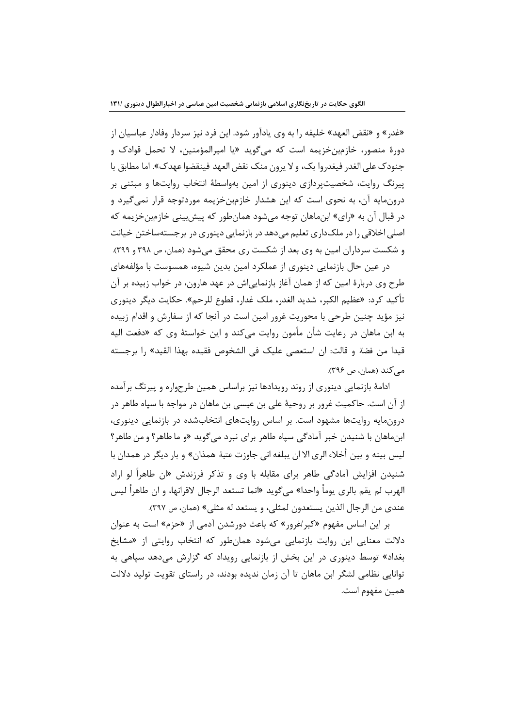«غدر» و «نقض العهد» خليفه را به وي يادآور شود. اين فرد نيز سردار وفادار عباسيان از دورۂ منصور، خازمین خزیمه است که می¢وید «یا امپرالمؤمنین، لا تحمل قوادک و جنودک علی الغدر فیغدروا بک، و لا پرون منک نقض العهد فینقضوا عهدک». اما مطابق با پیرنگ روایت، شخصیتپردازی دینوری از امین بهواسطهٔ انتخاب روایتها و مبتنی بر درونمایه آن، به نحوی است که این هشدار خازمینخزیمه موردتوجه قرار نمی گیرد و در قبال آن به «راي» ابنِماهان توجه ميشود همانِ طور كه پيش بيني خازِمِبنِ خزيمه كه اصلي اخلاقي را در ملک داري تعليم مي دهد در بازنمايي دينوري در بر جسته ساختن خيانت و شکست سرداران امین به وی بعد از شکست ری محقق می شود (همان، ص ۳۹۸ و ۳۹۹).

در عین حال بازنمایی دینوری از عملکرد امین بدین شیوه، همسوست با مؤلفههای طرح وي دربارهٔ امين كه از همان آغاز بازنمايي|ش در عهد هارون، در خواب زبيده بر آن تأكيد كرد: «عظيم الكبر، شديد الغدر، ملك غدار، قطوع للرحم». حكايت ديگر دينوري نیز مؤید چنین طرحی با محوریت غرور امین است در آنجا که از سفارش و اقدام زبیده به ابن ماهان در رعایت شأن مأمون روایت میکند و این خواستهٔ وی که «دفعت الیه قيدا من فضة و قالت: إن استعصى عليك في الشخوص فقيده بهذا القيد» ,ا برجسته مے کند (همان، ص ۳۹۶).

ادامهٔ بازنمایی دینوری از روند رویدادها نیز براساس همین طرحواره و پیرنگ برآمده از آن است. حاکمیت غرور بر روحیهٔ علی بن عیسی بن ماهان در مواجه با سپاه طاهر در درونمایه روایتها مشهود است. بر اساس روایتهای انتخابشده در بازنمایی دینوری، ابن.ماهان با شنیدن خبر آمادگی سپاه طاهر برای نبرد میگوید «و ما طاهر؟ و من طاهر؟ ليس بينه و بين أخلاء الري الا ان يبلغه اني جاوزت عتبة همذان» و بار ديگر در همدان با شنیدن افزایش آمادگی طاهر برای مقابله با وی و تذکر فرزندش «ان طاهراً لو اراد الهرب لم يقم بالري يوماً واحدا» مي ًكويد «انما تستعد الرجال لاقرانها، و ان طاهراً ليس عندي من الرجال الذين يستعدون لمثلي، و يستعد له مثلي» (همان، ص ٣٩٧).

بر این اساس مفهوم «کبر *اغ*رور» که باعث دورشدن آدمی از «حزم» است به عنوان دلالت معنایی این روایت بازنمایی میشود همانطور که انتخاب روایتی از «مشایخ بغداد» توسط دینوری در این بخش از بازنمایی رویداد که گزارش میدهد سپاهی به توانایی نظامی لشگر ابن ماهان تا آن زمان ندیده بودند، در راستای تقویت تولید دلالت همين مفهوم است.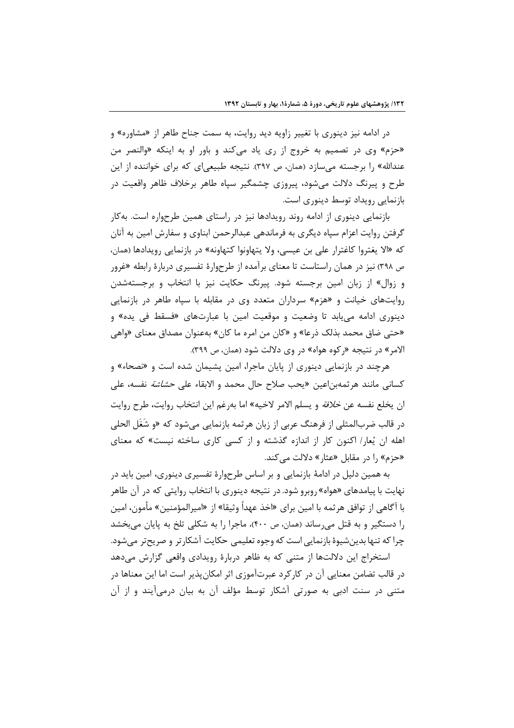در ادامه نیز دینوری با تغییر زاویه دید روایت، به سمت جناح طاهر از «مشاوره» و «حزم» وي در تصميم به خروج از ري ياد مي كند و باور او به اينكه «والنصر من عندالله» را برجسته میسازد (همان، ص ۳۹۷). نتیجه طبیعیای که برای خواننده از این طرح و پیرنگ دلالت میشود، پیروزی چشمگیر سپاه طاهر برخلاف ظاهر واقعیت در بازنمایی رویداد توسط دینوری است.

بازنمایی دینوری از ادامه روند رویدادها نیز در راستای همین طرحواره است. به کار گرفتن روایت اعزام سپاه دیگری به فرماندهی عبدالرحمن ابناوی و سفارش امین به آنان که «الا يغتروا کاغترار على بن عيسى، ولا يتهاونوا کتهاونه» در بازنمايي رويدادها (همان، ص ۳۹۸) نیز در همان راستاست تا معنای برآمده از طرحوارهٔ تفسیری دربارهٔ رابطه «غرور و زوال» از زبان امین برجسته شود. پیرنگ حکایت نیز با انتخاب و برجستهشدن روایتهای خیانت و «هزم» سرداران متعدد وی در مقابله با سیاه طاهر در بازنمایی دینوری ادامه مے بابد تا وضعیت و موقعیت امین با عبارتھای «فسقط فی یده» و «حتى ضاق محمد بذلك ذرعا» و «كان من امره ما كان» بهعنوان مصداق معناي «واهي الامر» در نتیجه «رکوه هواه» در وی دلالت شود (همان، ص ۳۹۹).

هرچند در بازنمایی دینوری از پایان ماجرا، امین پشیمان شده است و «نصحاء» و كساني مانند هر ثمهبن|عين «يحب صلاح حال محمد و الابقاء على *حشاشة* نفسه، على ان يخلع نفسه عن *خلافة* و يسلم الامر لاخيه» اما به<sub>ر</sub>غم اين انتخاب روايت، طرح روايت در قالب ضربالمثلي از فرهنگ عربي از زبان هرثمه بازنمايي مي شود كه «و شَغَل الحلي اهله ان یُعار/ اکنون کار از اندازه گذشته و از کسی کاری ساخته نیست» که معنای «حزم» را در مقابل «عثار» دلالت می کند.

به همین دلیل در ادامهٔ بازنمایی و بر اساس طرحوارهٔ تفسیری دینوری، امین باید در نهایت با پیامدهای «هواه» روبرو شود. در نتیجه دینوری با انتخاب روایتی که در آن طاهر با آگاهي از توافق هرثمه با امين براي «اخذ عهداً وثيقا» از «اميرالمؤمنين» مأمون، امين را دستگیر و به قتل می رساند (همان، ص ۴۰۰)، ماجرا را به شکلی تلخ به پایان می بخشد چرا که تنها بدین شیوهٔ بازنمایی است که وجوه تعلیمی حکایت آشکارتر و صریحتر می شود.

استخراج این دلالتها از متنی که به ظاهر دربارهٔ رویدادی واقعی گزارش میدهد در قالب تضامن معنایی آن در کارکرد عبرتآموزی اثر امکانپذیر است اما این معناها در متنی در سنت ادبی به صورتی آشکار توسط مؤلف آن به بیان درمیآیند و از آن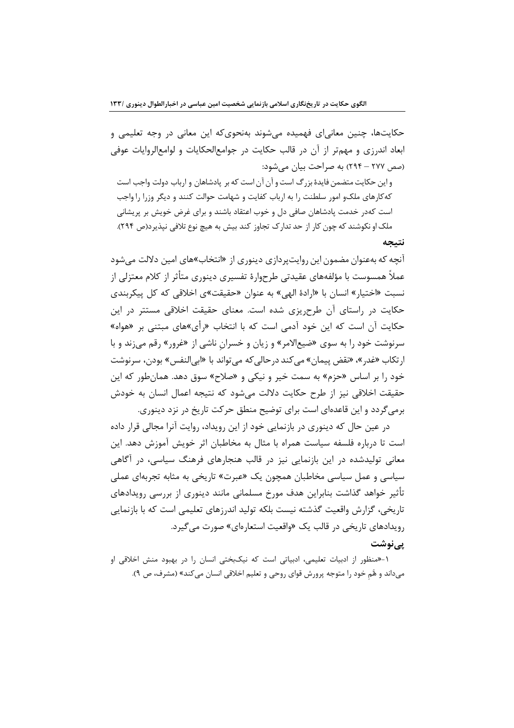حکایتها، چنین معانی|ی فهمیده میشوند بهنحویکه این معانی در وجه تعلیمی و ابعاد اندرزی و مهمتر از آن در قالب حکایت در جوامعالحکایات و لوامعالروایات عوفی (صص ٢٧٧ – ٢٩۴) به صراحت بيان مي شود:

و این حکایت متضمن فایدهٔ بزرگ است و آن آن است که بر پادشاهان و ارباب دولت واجب است کهکارهای ملک و امور سلطنت را به ارباب کفایت و شهامت حوالت کنند و دیگر وزرا را واجب است کهدر خدمت پادشاهان صافی دل و خوب اعتقاد باشند و برای غرض خویش بر پریشانی ملک او نکوشند که چون کار از حد تدارک تجاوز کند بیش به هیچ نوع تلافی نیذیرد(ص ۲۹۴). نتىحە

آنچه که بهعنوان مضمون این روایت بردازی دینوری از «انتخاب»های امین دلالت می شود عملاً همسوست با مؤلفههای عقیدتی طرحوارهٔ تفسیری دینوری متأثر از کلام معتزلی از نسبت «اختیار» انسان با «ارادهٔ الهی» به عنوان «حقیقت»ی اخلاقی که کل پیکربندی حکایت در راستای آن طرحریزی شده است. معنای حقیقت اخلاقی مستتر در این حکایت آن است که این خود آدمی است که با انتخاب «رأی»های میتنی بر «هواه» سرنوشت خود را به سوی «ضیعالامر» و زیان و خسرانِ ناشی از «غرور» رقم میزند و با ارتكاب «غدر »، «نقض پيمان» مي كند در حالي كه مي تواند با «ابي|لنفس» بودن، سرنوشت خود را بر اساس «حزم» به سمت خیر و نیکی و «صلاح» سوق دهد. همان طور که این حقیقت اخلاقی نیز از طرح حکایت دلالت می شود که نتیجه اعمال انسان به خودش برمی گردد و این قاعدهای است برای توضیح منطق حرکت تاریخ در نزد دینوری.

در عین حال که دینوری در بازنمایی خود از این رویداد، روایت آنرا مجالی قرار داده است تا درباره فلسفه سیاست همراه با مثال به مخاطبان اثر خویش آموزش دهد. این معانی تولیدشده در این بازنمایی نیز در قالب هنجارهای فرهنگ سیاسی، در آگاهی سیاسی و عمل سیاسی مخاطبان همچون یک «عبرت» تاریخی به مثابه تجربهای عملی تأثیر خواهد گذاشت بنابراین هدف مورخ مسلمانی مانند دینوری از بررسی رویدادهای تاریخی، گزارش واقعیت گذشته نیست بلکه تولید اندرزهای تعلیمی است که با بازنمایی رویدادهای تاریخی در قالب یک «واقعیت استعارهای» صورت می گیرد. یے نوشت

۱-«منظور از ادبیات تعلیمی، ادبیاتی است که نیک بختی انسان را در بهبود منش اخلاقی او میداند و هًم خود را متوجه پرورش قوای روحی و تعلیم اخلاقی انسان می کند» (مشرف، ص ۹).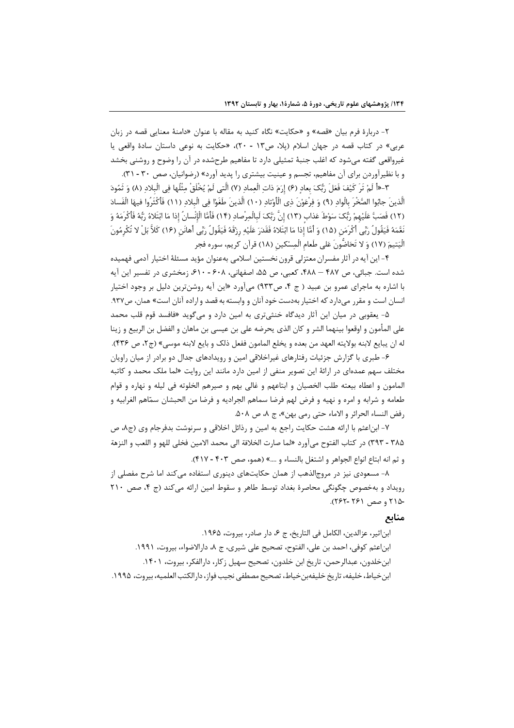۲- دربارهٔ فرم بیان «قصه» و «حکایت» نگاه کنید به مقاله با عنوان «دامنهٔ معنایی قصه در زبان عربي» در كتاب قصه در جهان اسلام (پلا، ص١٣ - ٢٠)، «حكايت به نوعي داستان سادة واقعي يا غیرواقعی گفته میشود که اغلب جنبهٔ تمثیلی دارد تا مفاهیم طرحشده در آن را وضوح و روشنی بخشد و با نظیرآوردن برای آن مفاهیم، تجسم و عینیت بیشتری را پدید آورد» (رضوانیان، صص ۳۰ - ۳۱).

٣-«أَ لَمْ تَرَ كَيْفَ فَعَلَ رَبُّكَ بِعاد (۶) إِرَمَ ذات الْعماد (٧) الَّتِي لَمْ يُخْلَقْ مثْلُها في البلاد (٨) وَ ثَمُودَ الَّذينَ جابُوا الصَّخْرَ بالْوادِ (٩) وَ فِرْعَوْنَ ذِي الْأَوْتادِ (١٠) الَّذينَ طَغَوْا فِي الْبلادِ (١١) فَأكْثَرُوا فيهَا الْفَسادَ (١٢) فَصَبَّ عَلَيْهِمْ رَبُّكَ سَوْطَ عَذاب (١٣) إِنَّ رَبَّكَ لَبالْمِرْصادِ (١۴) فَأَمَّا الْإِنْسانُ إذا مَا ابْتَلاهُ رَبَّهُ فَأَكْرِمَهُ وَ نَغَّمَهُ فَيَقُولُ رَبِّي أَكْرَمَن (١۵) وَ أَمَّا إِذا مَا ابْتَلاهُ فَقَدَرَ عَلَيْهِ رِزْقَهُ فَيَقُولُ رَبِّي أهانَن (١۶) كَلاَّ بَلْ لا تُكْرِمُونَ الْيَتِيمَ (١٧) وَ لا تَحَاصُّونَ عَلى طَعام الْمسْكين (١٨) قرآن كريم، سوره فجر

۴- این آیه در آثار مفسران معتزلی قرون نخستین اسلامی بهعنوان مؤید مسئلهٔ اختیار آدمی فهمیده شده است. جبائی، ص ۴۸۷ – ۴۸۸، کعبی، ص ۵۵، اصفهانی، ۶۰۸ - ۶۱۰، زمخشری در تفسیر این آیه با اشاره به ماجرای عمرو بن عبید ( ج ۴، ص۹۳۳) میآورد «این آیه روشنترین دلیل بر وجود اختیار انسان است و مقرر میدارد که اختیار بهدست خود آنان و وابسته به قصد و اراده آنان است» همان، ص۹۳۷.

۵- یعقوبی در میان این آثار دیدگاه خنثیتری به امین دارد و میگوید «فافسد قوم قلب محمد على المأمون و اوقعوا بينهما الشر و كان الذي يحرضه على بن عيسى بن ماهان و الفضل بن الربيع و زينا له ان يبايع لابنه بولايته العهد من بعده و يخلع المامون ففعل ذلك و بايع لابنه موسى» (ج٢، ص ٣٣۶).

۶- طبری با گزارش جزئیات رفتارهای غیراخلاقی امین و رویدادهای جدال دو برادر از میان راویان مختلف سهم عمدهای در ارائهٔ این تصویر منفی از امین دارد مانند این روایت «لما ملک محمد و کاتبه المامون و اعطاه بيعته طلب الخصيان و ابتاعهم و غالي بهم و صيرهم الخلوته في ليله و نهاره و قوام طعامه و شرابه و امره و نهيه و فرض لهم فرضا سماهم الجراديه و فرضا من الحبشان سمّاهم الغرابيه و رفض النساء الحرائر و الاماء حتى رمي بهن»، ج ٨، ص ٥٠٨.

۷- ابناعثم با ارائه هشت حکایت راجع به امین و رذائل اخلاقی و سرنوشت بدفرجام وی (ج۸، ص ٣٨۵ - ٣٩٣) در كتاب الفتوح مي آورد «لما صارت الخلافة الى محمد الامين فخلي للهو و اللعب و النزهة و ثم انه ابتاع انواع الجواهر و اشتغل بالنساء و ....» (همو، صص ۴۰۳ - ۴۱۷).

۸- مسعودی نیز در مروج|لذهب از همان حکایتهای دینوری استفاده میکند اما شرح مفصلی از رویداد و بهخصوص چگونگی محاصرهٔ بغداد توسط طاهر و سقوط امین ارائه می کند (ج ۴، صص ۲۱۰ -۲۱۵ و صص ۲۶۱ -۲۶۲).

#### منابع

ابن|ثير، عزالدين، الكامل في التاريخ، ج ع، دار صادر، بيروت، ١٩۶۵. ابناعثم كوفي، احمد بن علي، الفتوح، تصحيح على شيري، ج ٨، دارالاضواء، بيروت، ١٩٩١. ابن خلدون، عبدالرحمن، تاريخ ابن خلدون، تصحيح سهيل زكار، دارالفكر، بيروت، ١۴٠١. ابن خياط، خليفه، تاريخ خليفهبن خياط، تصحيح مصطفى نجيب فواز، دارالكتب العلميه، بيروت، ١٩٩۵.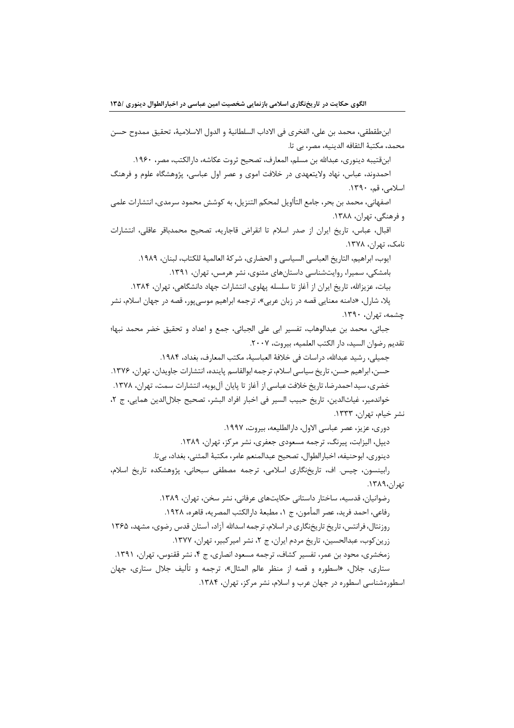ابنطقطقي، محمد بن علي، الفخرى في الاداب السلطانية و الدول الاسلامية، تحقيق ممدوح حسن محمد، مكتبة الثقافه الدينيه، مصر، بي تا.

ابنقتيبه دينوري، عبدالله بن مسلم، المعارف، تصحيح ثروت عكاشه، دا, الكتب، مصر، ١٩۶٠.

احمدوند، عباس، نهاد ولایتعهدی در خلافت اموی و عصر اول عباسی، پژوهشگاه علوم و فرهنگ اسلامی، قم، ۱۳۹۰.

اصفهاني، محمد بن بحر، جامع التأاويل لمحكم التنزيل، به كوشش محمود سرمدي، انتشارات علمي و فرهنگی، تهران، ۱۳۸۸.

اقبال، عباس، تاريخ ايران از صدر اسلام تا انقراض قاجاريه، تصحيح محمدباقر عاقلي، انتشارات نامک، تھران، ۱۳۷۸.

ايوب، ابراهيم، التاريخ العباسي السياسي و الحضاري، شركة العالمية للكتاب، لبنان، ١٩٨٩. بامشکی، سمیرا، روایتشناسی داستانهای مثنوی، نشر هرمس، تهران، ۱۳۹۱.

بیات، عزیزالله، تاریخ ایران از آغاز تا سلسله پهلوی، انتشارات جهاد دانشگاهی، تهران، ۱۳۸۴.

پلا، شارل، «دامنه معنایی قصه در زبان عربی»، ترجمه ابراهیم موسیپور، قصه در جهان اسلام، نشر چشمه، تهران، ۱۳۹۰.

جبائي، محمد بن عبدالوهاب، تفسير ابي على الجبائي، جمع و اعداد و تحقيق خضر محمد نبها؛ تقديم رضوان السيد، دار الكتب العلميه، بيروت، ٢٠٠٧.

جميلي، رشيد عبدالله، دراسات في خلافة العباسية، مكتب المعارف، بغداد، ١٩٨۴.

حسن، ابراهيم حسن، تاريخ سياسي اسلام، ترجمه ابوالقاسم پاينده، انتشارات جاويدان، تهران، ١٣٧۶. خضري، سيد احمدرضا، تاريخ خلافت عباسي از آغاز تا پايان آلبويه، انتشارات سمت، تهران، ١٣٧٨. خواندمير، غياثالدين، تاريخ حبيب السير في اخبار افراد البشر، تصحيح جلالالدين همايي، ج ٢، نشر خيام، تهران، ١٣٣٣.

> دوري، عزيز، عصر عباسي الاول، دارالطليعه، بيروت، ١٩٩٧. ديپل، اليزابت، پيرنگ، ترجمه مسعودي جعفري، نشر مركز، تهران، ١٣٨٩.

دينوري، ابوحنيفه، اخبارالطوال، تصحيح عبدالمنعم عامر، مكتبهٔ المثنى، بغداد، بي¤.

رابینسون، چیس. اف، تاریخنگاری اسلامی، ترجمه مصطفی سبحانی، پژوهشکده تاریخ اسلام، تهران،١٣٨٩.

رضوانیان، قدسیه، ساختار داستانی حکایتهای عرفانی، نشر سخن، تهران، ۱۳۸۹. رفاعي، احمد فريد، عصر المأمون، ج ١، مطبعهٔ دارالكتب المصريه، قاهره، ١٩٢٨. روزنتال، فرانتس، تاریخ تاریخنگاری در اسلام، ترجمه اسدالله آزاد، آستان قدس رضوی، مشهد، ۱۳۶۵ زرین کوب، عبدالحسین، تاریخ مردم ایران، ج ۲، نشر امیر کبیر، تهران، ۱۳۷۷. زمخشري، محود بن عمر، تفسير كشاف، ترجمه مسعود انصاري، ج ۴، نشر ققنوس، تهران، ١٣٩١. ستاری، جلال، «اسطوره و قصه از منظر عالم المثال»، ترجمه و تألیف جلال ستاری، جهان اسطورهشناسی اسطوره در جهان عرب و اسلام، نشر مرکز، تهران، ۱۳۸۴.